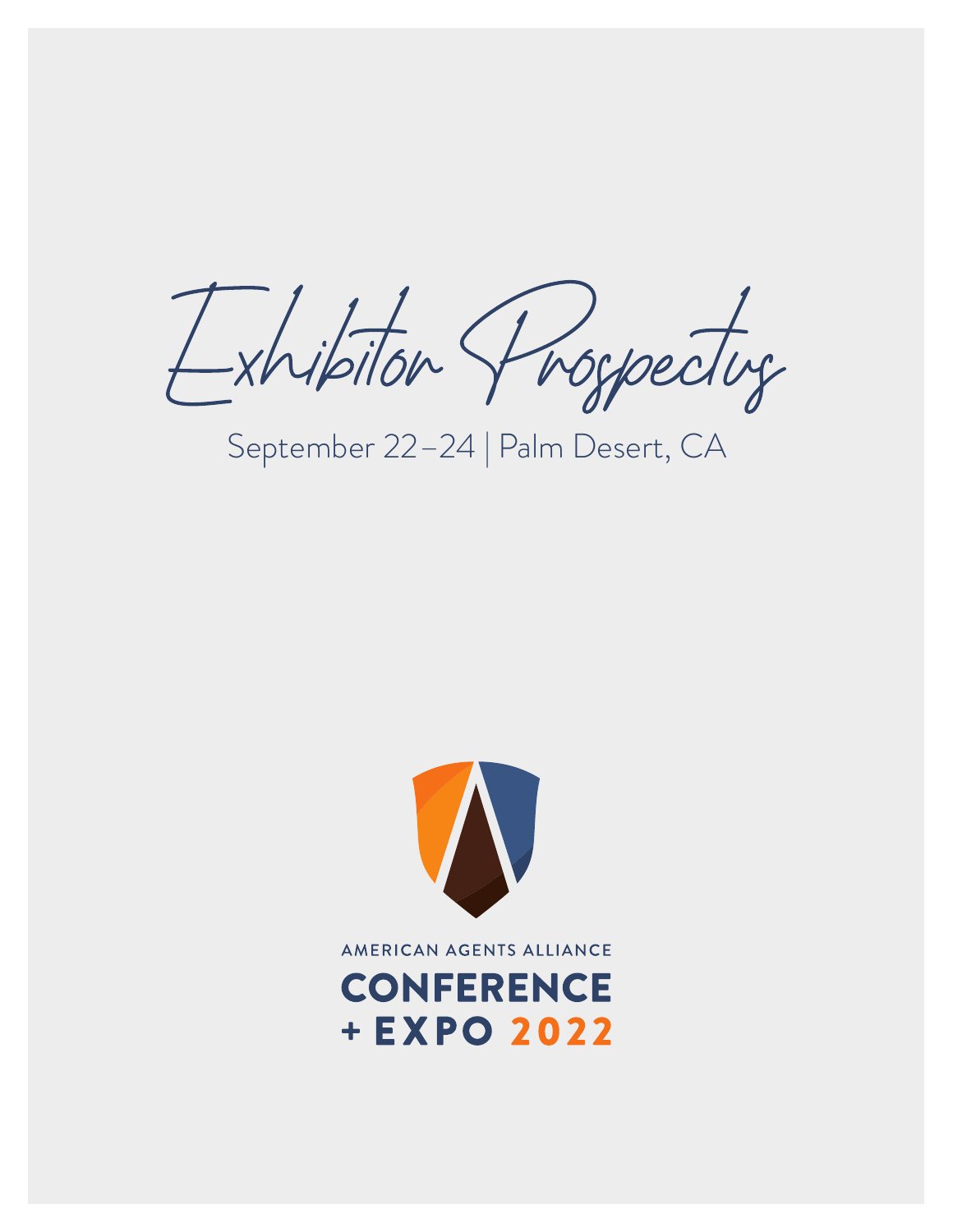Exhibiton Shoppedug

September 22–24 | Palm Desert, CA



AMERICAN AGENTS ALLIANCE

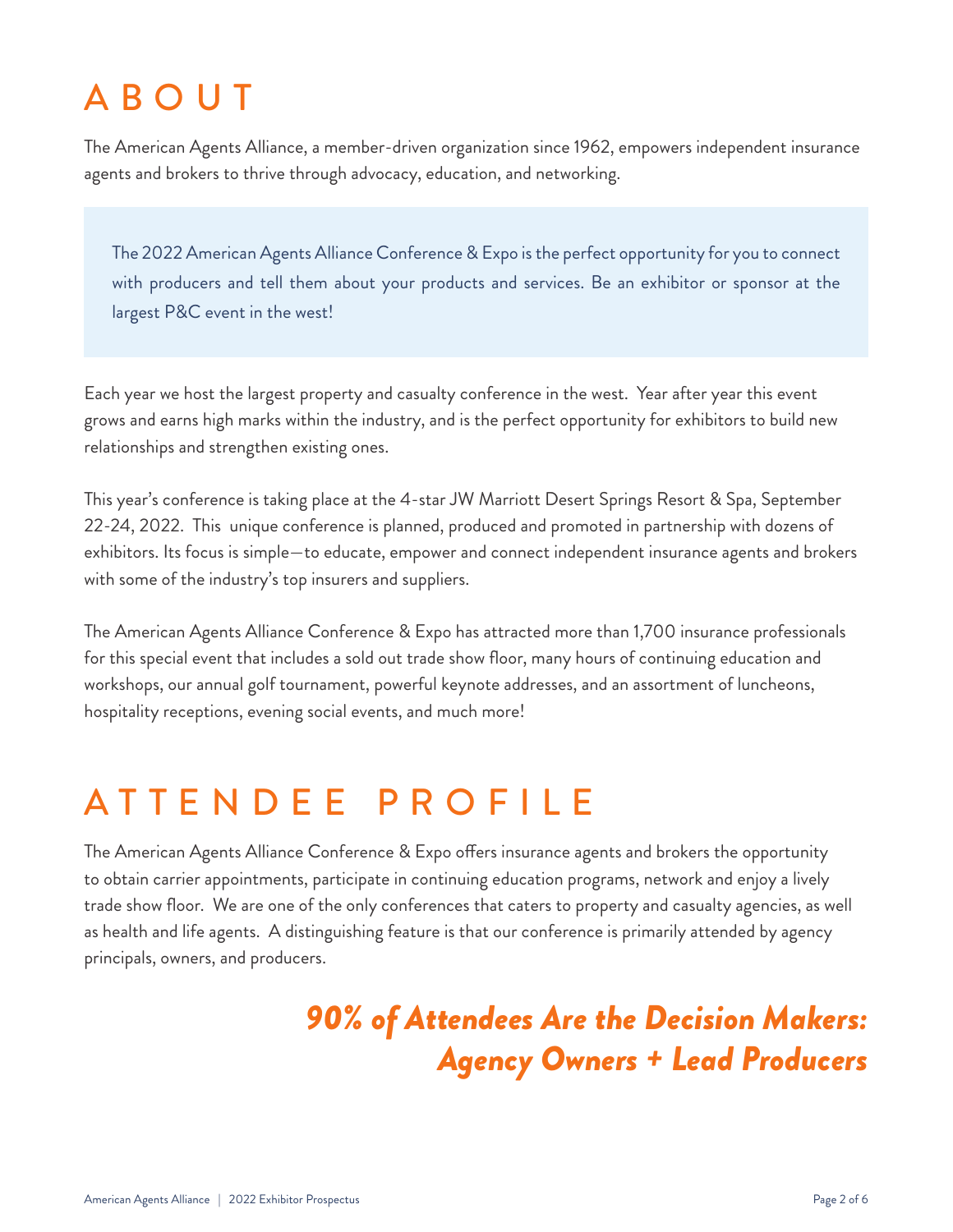# ABOUT

The American Agents Alliance, a member-driven organization since 1962, empowers independent insurance agents and brokers to thrive through advocacy, education, and networking.

The 2022 American Agents Alliance Conference & Expo is the perfect opportunity for you to connect with producers and tell them about your products and services. Be an exhibitor or sponsor at the largest P&C event in the west!

Each year we host the largest property and casualty conference in the west. Year after year this event grows and earns high marks within the industry, and is the perfect opportunity for exhibitors to build new relationships and strengthen existing ones.

This year's conference is taking place at the 4-star JW Marriott Desert Springs Resort & Spa, September 22-24, 2022. This unique conference is planned, produced and promoted in partnership with dozens of exhibitors. Its focus is simple—to educate, empower and connect independent insurance agents and brokers with some of the industry's top insurers and suppliers.

The American Agents Alliance Conference & Expo has attracted more than 1,700 insurance professionals for this special event that includes a sold out trade show floor, many hours of continuing education and workshops, our annual golf tournament, powerful keynote addresses, and an assortment of luncheons, hospitality receptions, evening social events, and much more!

#### ATTENDEE PROFILE

The American Agents Alliance Conference & Expo offers insurance agents and brokers the opportunity to obtain carrier appointments, participate in continuing education programs, network and enjoy a lively trade show floor. We are one of the only conferences that caters to property and casualty agencies, as well as health and life agents. A distinguishing feature is that our conference is primarily attended by agency principals, owners, and producers.

#### *90% of Attendees Are the Decision Makers: Agency Owners + Lead Producers*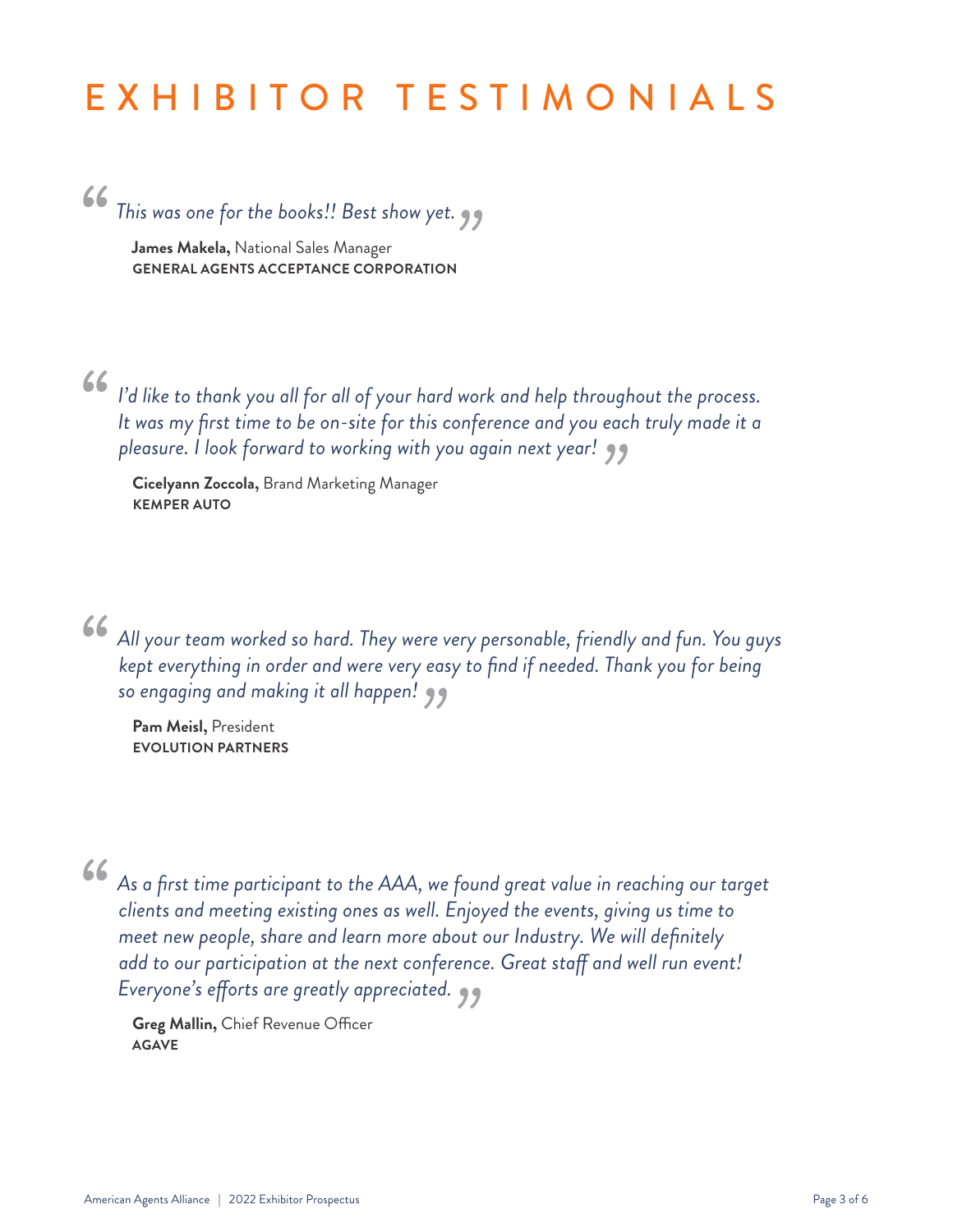## EXHIBITOR TESTIMONIALS

#### *"*

*This was one for the books!! Best show yet.*<br> **James Makela,** National Sales Manager<br>
GENERAL AGENTS ACCEPTANCE CORPORATION **James Makela,** National Sales Manager **GENERAL AGENTS ACCEPTANCE CORPORATION**

*"*

*I'd like to thank you all for all of your hard work and help throughout the process. It was my first time to be on-site for this conference and you each truly made it a* 

*pleasure. I look forward to working with you again next year! "* **Cicelyann Zoccola,** Brand Marketing Manager **KEMPER AUTO**

*"*

*All your team worked so hard. They were very personable, friendly and fun. You guys kept everything in order and were very easy to find if needed. Thank you for being so engaging and making it all happen!*<br> **Pam Meisl,** President<br> **EVOLUTION PARTNERS** 

**Pam Meisl,** President **EVOLUTION PARTNERS**

*"*

*As a first time participant to the AAA, we found great value in reaching our target clients and meeting existing ones as well. Enjoyed the events, giving us time to meet new people, share and learn more about our Industry. We will definitely add to our participation at the next conference. Great staff and well run event!* 

Everyone's efforts are greatly appreciated.<br> **Greg Mallin,** Chief Revenue Officer<br> **AGAVE Greg Mallin,** Chief Revenue Officer **AGAVE**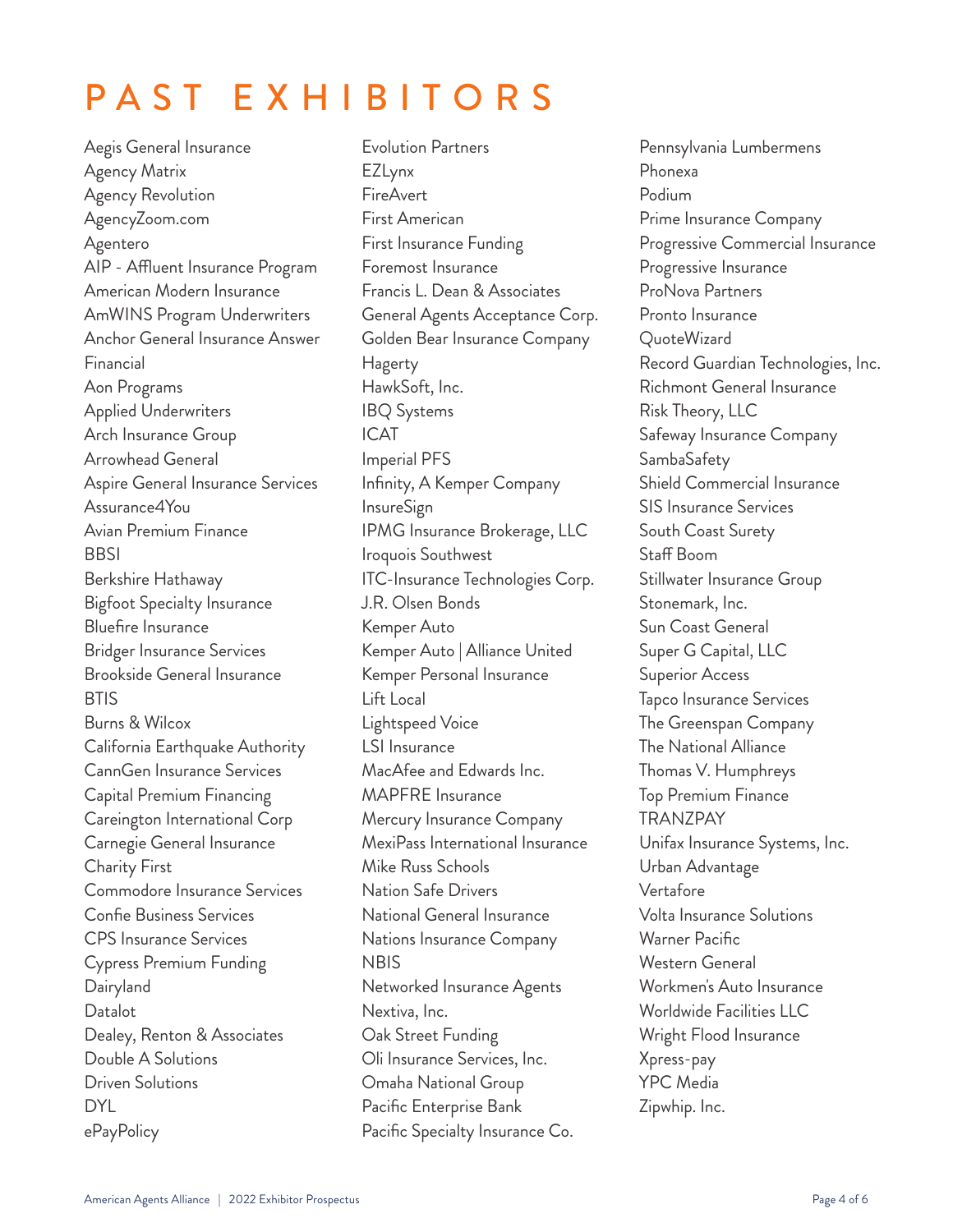# PAST EXHIBITORS

Aegis General Insurance Agency Matrix Agency Revolution AgencyZoom.com Agentero AIP - Affluent Insurance Program American Modern Insurance AmWINS Program Underwriters Anchor General Insurance Answer Financial Aon Programs Applied Underwriters Arch Insurance Group Arrowhead General Aspire General Insurance Services Assurance4You Avian Premium Finance **BBSI** Berkshire Hathaway Bigfoot Specialty Insurance Bluefire Insurance Bridger Insurance Services Brookside General Insurance **BTIS** Burns & Wilcox California Earthquake Authority CannGen Insurance Services Capital Premium Financing Careington International Corp Carnegie General Insurance Charity First Commodore Insurance Services Confie Business Services CPS Insurance Services Cypress Premium Funding **Dairyland** Datalot Dealey, Renton & Associates Double A Solutions Driven Solutions DYL ePayPolicy

Evolution Partners EZLynx FireAvert First American First Insurance Funding Foremost Insurance Francis L. Dean & Associates General Agents Acceptance Corp. Golden Bear Insurance Company Hagerty HawkSoft, Inc. IBQ Systems ICAT Imperial PFS Infinity, A Kemper Company InsureSign IPMG Insurance Brokerage, LLC Iroquois Southwest ITC-Insurance Technologies Corp. J.R. Olsen Bonds Kemper Auto Kemper Auto | Alliance United Kemper Personal Insurance Lift Local Lightspeed Voice LSI Insurance MacAfee and Edwards Inc. MAPFRE Insurance Mercury Insurance Company MexiPass International Insurance Mike Russ Schools Nation Safe Drivers National General Insurance Nations Insurance Company **NBIS** Networked Insurance Agents Nextiva, Inc. Oak Street Funding Oli Insurance Services, Inc. Omaha National Group Pacific Enterprise Bank Pacific Specialty Insurance Co.

Pennsylvania Lumbermens Phonexa Podium Prime Insurance Company Progressive Commercial Insurance Progressive Insurance ProNova Partners Pronto Insurance QuoteWizard Record Guardian Technologies, Inc. Richmont General Insurance Risk Theory, LLC Safeway Insurance Company SambaSafety Shield Commercial Insurance SIS Insurance Services South Coast Surety Staff Boom Stillwater Insurance Group Stonemark, Inc. Sun Coast General Super G Capital, LLC Superior Access Tapco Insurance Services The Greenspan Company The National Alliance Thomas V. Humphreys Top Premium Finance TRANZPAY Unifax Insurance Systems, Inc. Urban Advantage Vertafore Volta Insurance Solutions Warner Pacific Western General Workmen's Auto Insurance Worldwide Facilities LLC Wright Flood Insurance Xpress-pay YPC Media Zipwhip. Inc.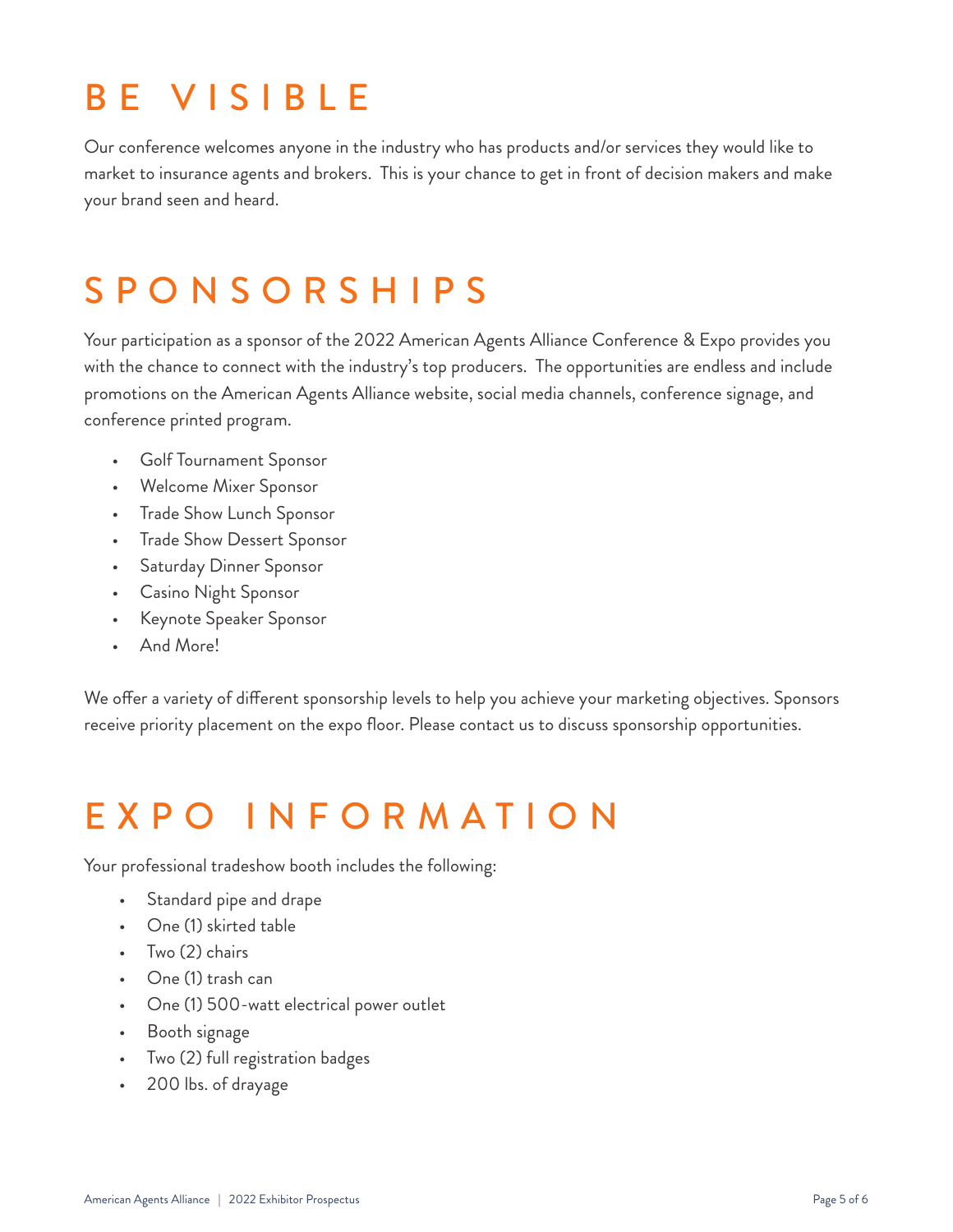### BE VISIBLE

Our conference welcomes anyone in the industry who has products and/or services they would like to market to insurance agents and brokers. This is your chance to get in front of decision makers and make your brand seen and heard.

### SPONSORSHIPS

Your participation as a sponsor of the 2022 American Agents Alliance Conference & Expo provides you with the chance to connect with the industry's top producers. The opportunities are endless and include promotions on the American Agents Alliance website, social media channels, conference signage, and conference printed program.

- Golf Tournament Sponsor
- Welcome Mixer Sponsor
- Trade Show Lunch Sponsor
- Trade Show Dessert Sponsor
- Saturday Dinner Sponsor
- Casino Night Sponsor
- Keynote Speaker Sponsor
- And More!

We offer a variety of different sponsorship levels to help you achieve your marketing objectives. Sponsors receive priority placement on the expo floor. Please contact us to discuss sponsorship opportunities.

### EXPO INFORMATION

Your professional tradeshow booth includes the following:

- Standard pipe and drape
- One (1) skirted table
- Two (2) chairs
- One (1) trash can
- One (1) 500-watt electrical power outlet
- Booth signage
- Two (2) full registration badges
- 200 lbs. of drayage